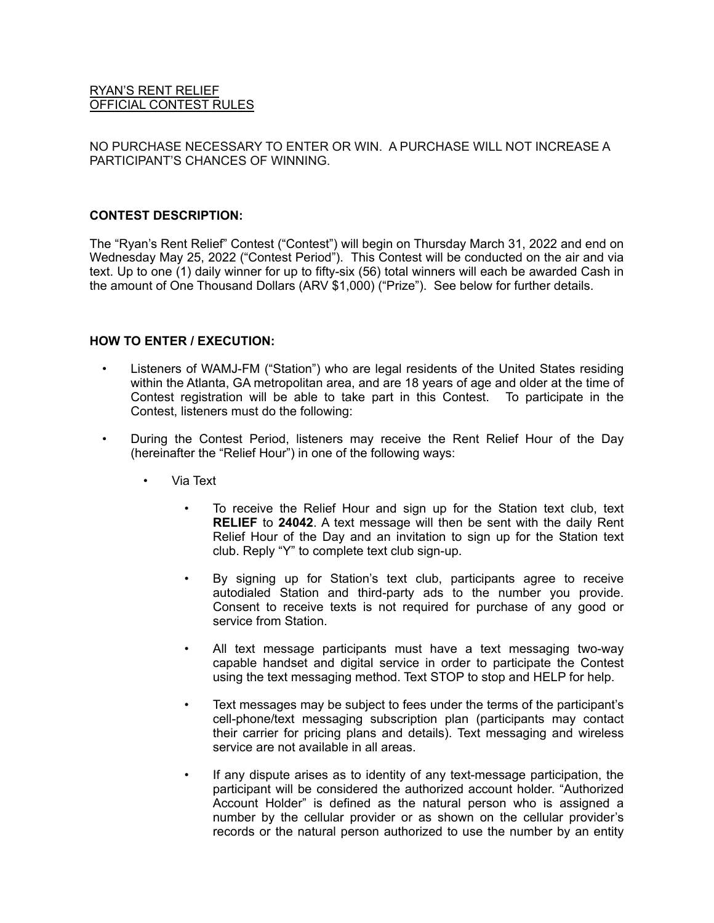# RYAN'S RENT RELIEF OFFICIAL CONTEST RULES

NO PURCHASE NECESSARY TO ENTER OR WIN. A PURCHASE WILL NOT INCREASE A PARTICIPANT'S CHANCES OF WINNING.

### **CONTEST DESCRIPTION:**

The "Ryan's Rent Relief" Contest ("Contest") will begin on Thursday March 31, 2022 and end on Wednesday May 25, 2022 ("Contest Period"). This Contest will be conducted on the air and via text. Up to one (1) daily winner for up to fifty-six (56) total winners will each be awarded Cash in the amount of One Thousand Dollars (ARV \$1,000) ("Prize"). See below for further details.

# **HOW TO ENTER / EXECUTION:**

- Listeners of WAMJ-FM ("Station") who are legal residents of the United States residing within the Atlanta, GA metropolitan area, and are 18 years of age and older at the time of Contest registration will be able to take part in this Contest. To participate in the Contest, listeners must do the following:
- During the Contest Period, listeners may receive the Rent Relief Hour of the Day (hereinafter the "Relief Hour") in one of the following ways:
	- Via Text
		- To receive the Relief Hour and sign up for the Station text club, text **RELIEF** to **24042**. A text message will then be sent with the daily Rent Relief Hour of the Day and an invitation to sign up for the Station text club. Reply "Y" to complete text club sign-up.
		- By signing up for Station's text club, participants agree to receive autodialed Station and third-party ads to the number you provide. Consent to receive texts is not required for purchase of any good or service from Station.
		- All text message participants must have a text messaging two-way capable handset and digital service in order to participate the Contest using the text messaging method. Text STOP to stop and HELP for help.
		- Text messages may be subject to fees under the terms of the participant's cell-phone/text messaging subscription plan (participants may contact their carrier for pricing plans and details). Text messaging and wireless service are not available in all areas.
		- If any dispute arises as to identity of any text-message participation, the participant will be considered the authorized account holder. "Authorized Account Holder" is defined as the natural person who is assigned a number by the cellular provider or as shown on the cellular provider's records or the natural person authorized to use the number by an entity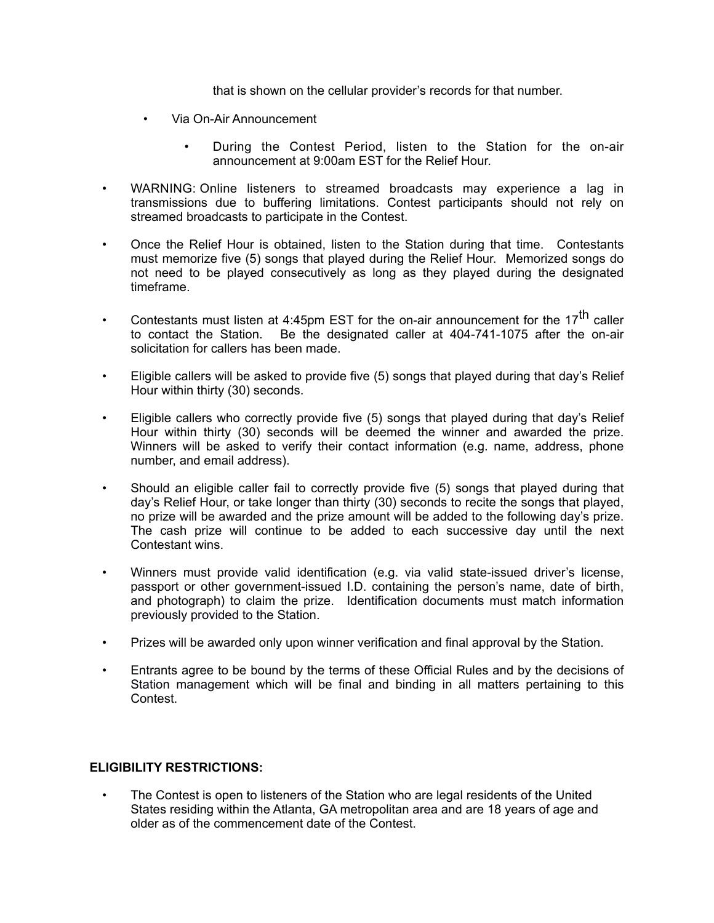that is shown on the cellular provider's records for that number.

- Via On-Air Announcement
	- During the Contest Period, listen to the Station for the on-air announcement at 9:00am EST for the Relief Hour.
- WARNING: Online listeners to streamed broadcasts may experience a lag in transmissions due to buffering limitations. Contest participants should not rely on streamed broadcasts to participate in the Contest.
- Once the Relief Hour is obtained, listen to the Station during that time. Contestants must memorize five (5) songs that played during the Relief Hour. Memorized songs do not need to be played consecutively as long as they played during the designated timeframe.
- Contestants must listen at 4:45pm EST for the on-air announcement for the 17<sup>th</sup> caller to contact the Station. Be the designated caller at 404-741-1075 after the on-air solicitation for callers has been made.
- Eligible callers will be asked to provide five (5) songs that played during that day's Relief Hour within thirty (30) seconds.
- Eligible callers who correctly provide five (5) songs that played during that day's Relief Hour within thirty (30) seconds will be deemed the winner and awarded the prize. Winners will be asked to verify their contact information (e.g. name, address, phone number, and email address).
- Should an eligible caller fail to correctly provide five (5) songs that played during that day's Relief Hour, or take longer than thirty (30) seconds to recite the songs that played, no prize will be awarded and the prize amount will be added to the following day's prize. The cash prize will continue to be added to each successive day until the next Contestant wins.
- Winners must provide valid identification (e.g. via valid state-issued driver's license, passport or other government-issued I.D. containing the person's name, date of birth, and photograph) to claim the prize. Identification documents must match information previously provided to the Station.
- Prizes will be awarded only upon winner verification and final approval by the Station.
- Entrants agree to be bound by the terms of these Official Rules and by the decisions of Station management which will be final and binding in all matters pertaining to this Contest.

#### **ELIGIBILITY RESTRICTIONS:**

The Contest is open to listeners of the Station who are legal residents of the United States residing within the Atlanta, GA metropolitan area and are 18 years of age and older as of the commencement date of the Contest.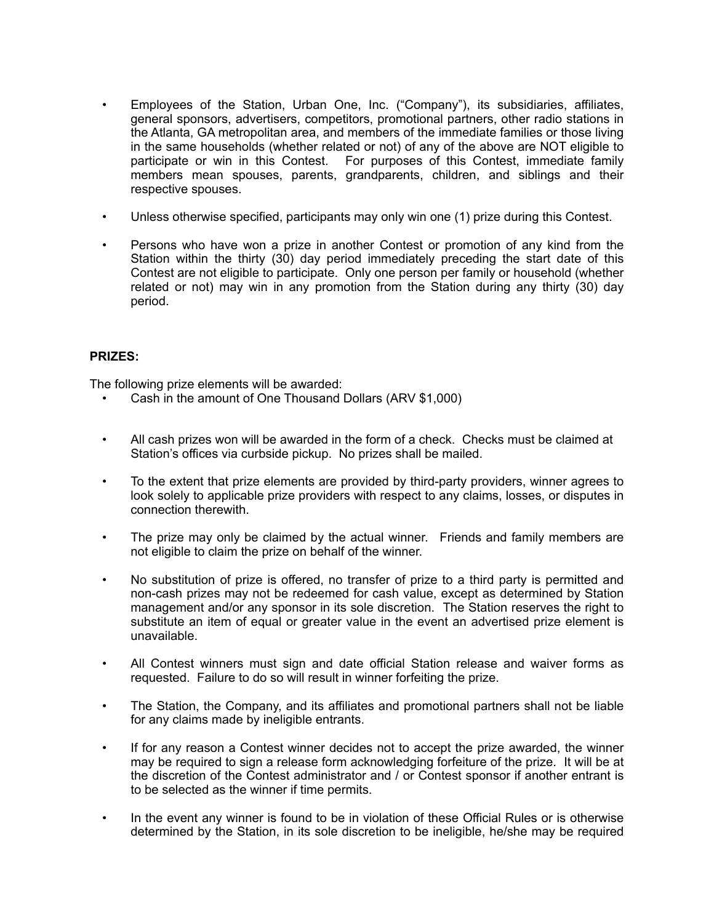- Employees of the Station, Urban One, Inc. ("Company"), its subsidiaries, affiliates, general sponsors, advertisers, competitors, promotional partners, other radio stations in the Atlanta, GA metropolitan area, and members of the immediate families or those living in the same households (whether related or not) of any of the above are NOT eligible to participate or win in this Contest. For purposes of this Contest, immediate family members mean spouses, parents, grandparents, children, and siblings and their respective spouses.
- Unless otherwise specified, participants may only win one (1) prize during this Contest.
- Persons who have won a prize in another Contest or promotion of any kind from the Station within the thirty (30) day period immediately preceding the start date of this Contest are not eligible to participate. Only one person per family or household (whether related or not) may win in any promotion from the Station during any thirty (30) day period.

# **PRIZES:**

The following prize elements will be awarded:

- Cash in the amount of One Thousand Dollars (ARV \$1,000)
- All cash prizes won will be awarded in the form of a check. Checks must be claimed at Station's offices via curbside pickup. No prizes shall be mailed.
- To the extent that prize elements are provided by third-party providers, winner agrees to look solely to applicable prize providers with respect to any claims, losses, or disputes in connection therewith.
- The prize may only be claimed by the actual winner. Friends and family members are not eligible to claim the prize on behalf of the winner.
- No substitution of prize is offered, no transfer of prize to a third party is permitted and non-cash prizes may not be redeemed for cash value, except as determined by Station management and/or any sponsor in its sole discretion. The Station reserves the right to substitute an item of equal or greater value in the event an advertised prize element is unavailable.
- All Contest winners must sign and date official Station release and waiver forms as requested. Failure to do so will result in winner forfeiting the prize.
- The Station, the Company, and its affiliates and promotional partners shall not be liable for any claims made by ineligible entrants.
- If for any reason a Contest winner decides not to accept the prize awarded, the winner may be required to sign a release form acknowledging forfeiture of the prize. It will be at the discretion of the Contest administrator and / or Contest sponsor if another entrant is to be selected as the winner if time permits.
- In the event any winner is found to be in violation of these Official Rules or is otherwise determined by the Station, in its sole discretion to be ineligible, he/she may be required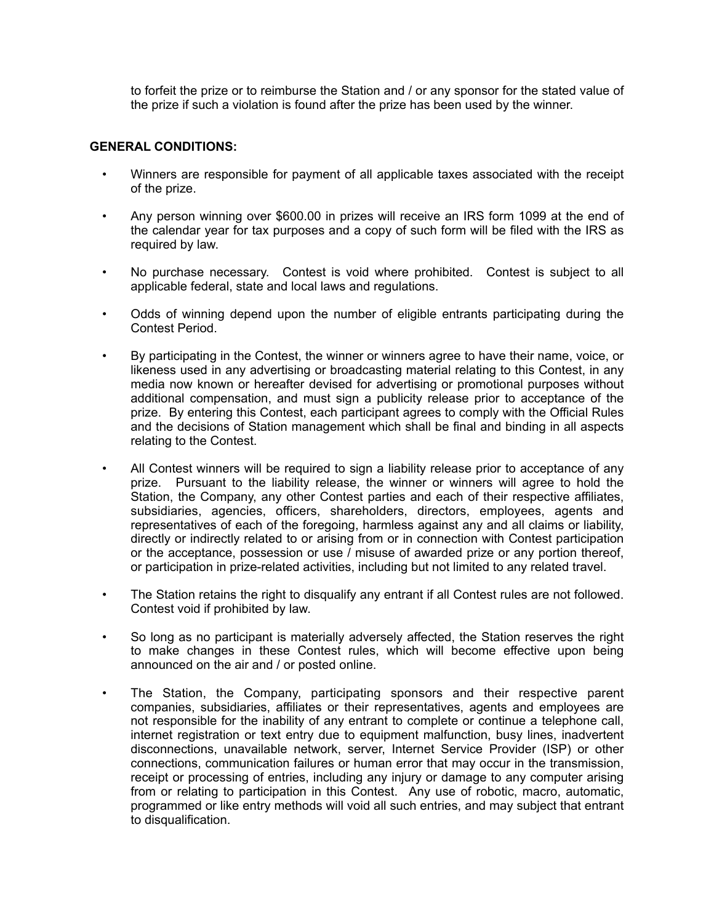to forfeit the prize or to reimburse the Station and / or any sponsor for the stated value of the prize if such a violation is found after the prize has been used by the winner.

# **GENERAL CONDITIONS:**

- Winners are responsible for payment of all applicable taxes associated with the receipt of the prize.
- Any person winning over \$600.00 in prizes will receive an IRS form 1099 at the end of the calendar year for tax purposes and a copy of such form will be filed with the IRS as required by law.
- No purchase necessary. Contest is void where prohibited. Contest is subject to all applicable federal, state and local laws and regulations.
- Odds of winning depend upon the number of eligible entrants participating during the Contest Period.
- By participating in the Contest, the winner or winners agree to have their name, voice, or likeness used in any advertising or broadcasting material relating to this Contest, in any media now known or hereafter devised for advertising or promotional purposes without additional compensation, and must sign a publicity release prior to acceptance of the prize. By entering this Contest, each participant agrees to comply with the Official Rules and the decisions of Station management which shall be final and binding in all aspects relating to the Contest.
- All Contest winners will be required to sign a liability release prior to acceptance of any prize. Pursuant to the liability release, the winner or winners will agree to hold the Station, the Company, any other Contest parties and each of their respective affiliates, subsidiaries, agencies, officers, shareholders, directors, employees, agents and representatives of each of the foregoing, harmless against any and all claims or liability, directly or indirectly related to or arising from or in connection with Contest participation or the acceptance, possession or use  $\overline{\ell}$  misuse of awarded prize or any portion thereof, or participation in prize-related activities, including but not limited to any related travel.
- The Station retains the right to disqualify any entrant if all Contest rules are not followed. Contest void if prohibited by law.
- So long as no participant is materially adversely affected, the Station reserves the right to make changes in these Contest rules, which will become effective upon being announced on the air and / or posted online.
- The Station, the Company, participating sponsors and their respective parent companies, subsidiaries, affiliates or their representatives, agents and employees are not responsible for the inability of any entrant to complete or continue a telephone call, internet registration or text entry due to equipment malfunction, busy lines, inadvertent disconnections, unavailable network, server, Internet Service Provider (ISP) or other connections, communication failures or human error that may occur in the transmission, receipt or processing of entries, including any injury or damage to any computer arising from or relating to participation in this Contest. Any use of robotic, macro, automatic, programmed or like entry methods will void all such entries, and may subject that entrant to disqualification.